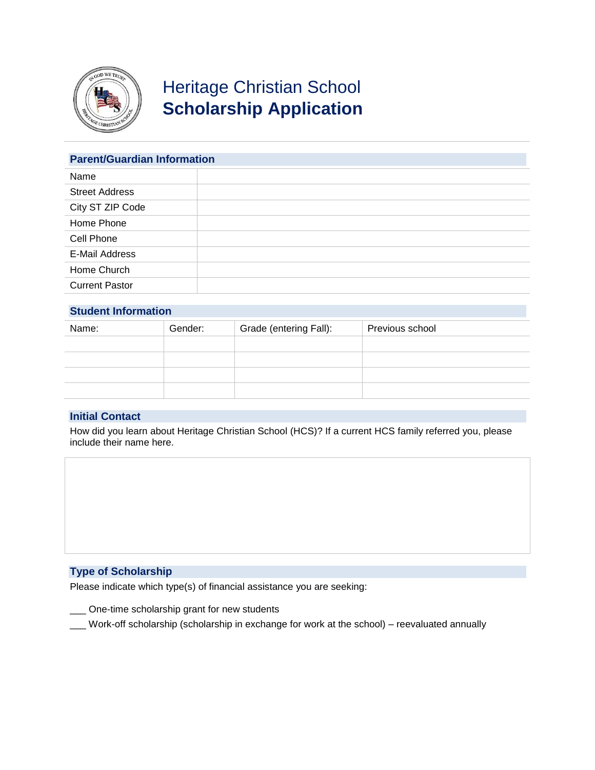

# Heritage Christian School **Scholarship Application**

| <b>Parent/Guardian Information</b> |  |  |
|------------------------------------|--|--|
| Name                               |  |  |
| <b>Street Address</b>              |  |  |
| City ST ZIP Code                   |  |  |
| Home Phone                         |  |  |
| Cell Phone                         |  |  |
| E-Mail Address                     |  |  |
| Home Church                        |  |  |
| <b>Current Pastor</b>              |  |  |

## **Student Information**

| Name: | Gender: | Grade (entering Fall): | Previous school |
|-------|---------|------------------------|-----------------|
|       |         |                        |                 |
|       |         |                        |                 |
|       |         |                        |                 |
|       |         |                        |                 |

### **Initial Contact**

How did you learn about Heritage Christian School (HCS)? If a current HCS family referred you, please include their name here.

## **Type of Scholarship**

Please indicate which type(s) of financial assistance you are seeking:

- \_\_\_ One-time scholarship grant for new students
- \_\_\_ Work-off scholarship (scholarship in exchange for work at the school) reevaluated annually